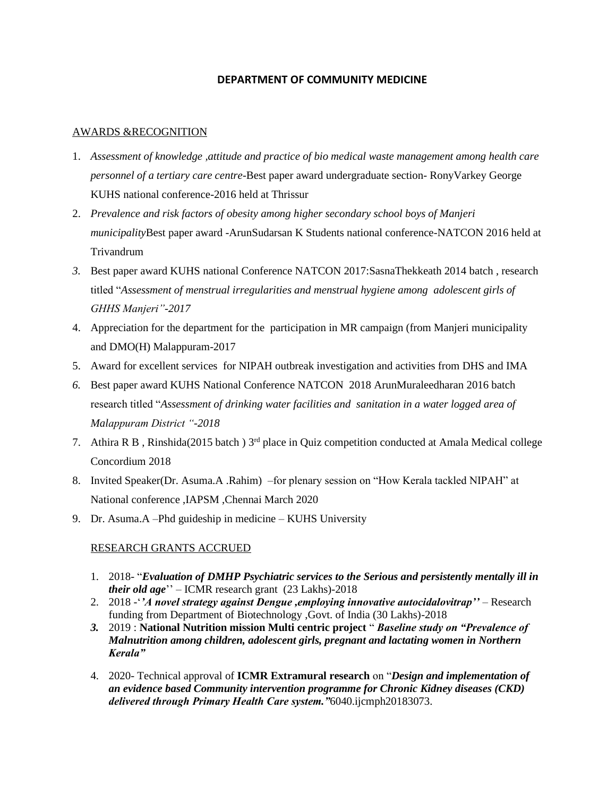### **DEPARTMENT OF COMMUNITY MEDICINE**

#### AWARDS &RECOGNITION

- 1. *Assessment of knowledge ,attitude and practice of bio medical waste management among health care personnel of a tertiary care centre*-Best paper award undergraduate section- RonyVarkey George KUHS national conference-2016 held at Thrissur
- 2. *Prevalence and risk factors of obesity among higher secondary school boys of Manjeri municipality*Best paper award -ArunSudarsan K Students national conference-NATCON 2016 held at Trivandrum
- *3.* Best paper award KUHS national Conference NATCON 2017:SasnaThekkeath 2014 batch , research titled "*Assessment of menstrual irregularities and menstrual hygiene among adolescent girls of GHHS Manjeri"-2017*
- 4. Appreciation for the department for the participation in MR campaign (from Manjeri municipality and DMO(H) Malappuram-2017
- 5. Award for excellent services for NIPAH outbreak investigation and activities from DHS and IMA
- *6.* Best paper award KUHS National Conference NATCON 2018 ArunMuraleedharan 2016 batch research titled "*Assessment of drinking water facilities and sanitation in a water logged area of Malappuram District "-2018*
- 7. Athira R B, Rinshida(2015 batch) 3<sup>rd</sup> place in Quiz competition conducted at Amala Medical college Concordium 2018
- 8. Invited Speaker(Dr. Asuma.A .Rahim) –for plenary session on "How Kerala tackled NIPAH" at National conference ,IAPSM ,Chennai March 2020
- 9. Dr. Asuma.A –Phd guideship in medicine KUHS University

## RESEARCH GRANTS ACCRUED

- 1. 2018- "*Evaluation of DMHP Psychiatric services to the Serious and persistently mentally ill in their old age*'' – ICMR research grant (23 Lakhs)-2018
- 2. 2018 -'*'A novel strategy against Dengue ,employing innovative autocidalovitrap''* Research funding from Department of Biotechnology ,Govt. of India (30 Lakhs)-2018
- *3.* 2019 : **National Nutrition mission Multi centric project** " *Baseline study on "Prevalence of Malnutrition among children, adolescent girls, pregnant and lactating women in Northern Kerala"*
- 4. 2020- Technical approval of **ICMR Extramural research** on "*Design and implementation of an evidence based Community intervention programme for Chronic Kidney diseases (CKD) delivered through Primary Health Care system."*6040.ijcmph20183073.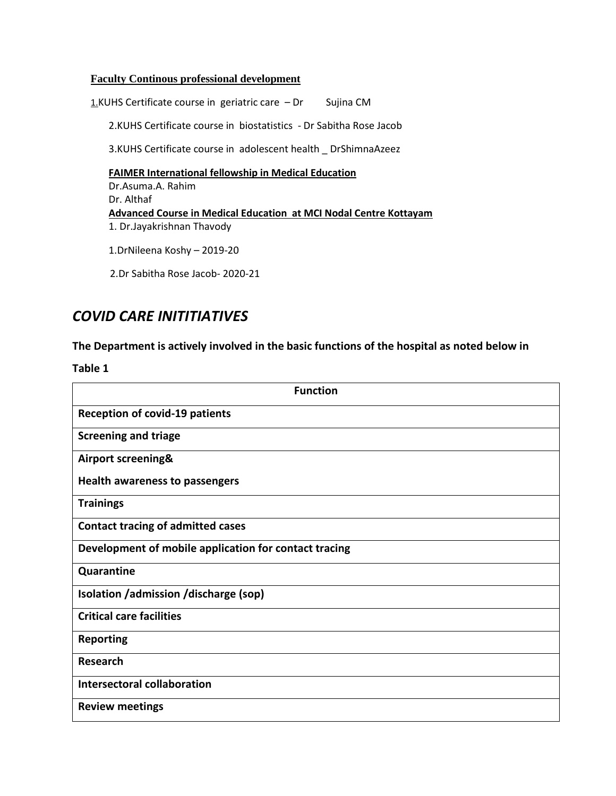#### **Faculty Continous professional development**

1.KUHS Certificate course in geriatric care  $-Dr$  Sujina CM 2.KUHS Certificate course in biostatistics - Dr Sabitha Rose Jacob 3.KUHS Certificate course in adolescent health \_ DrShimnaAzeez **FAIMER International fellowship in Medical Education** Dr.Asuma.A. Rahim Dr. Althaf **Advanced Course in Medical Education at MCI Nodal Centre Kottayam** 1. Dr.Jayakrishnan Thavody

1.DrNileena Koshy – 2019-20

2.Dr Sabitha Rose Jacob- 2020-21

# *COVID CARE INITITIATIVES*

**The Department is actively involved in the basic functions of the hospital as noted below in**

**Table 1**

| <b>Function</b>                                       |
|-------------------------------------------------------|
| <b>Reception of covid-19 patients</b>                 |
| <b>Screening and triage</b>                           |
| Airport screening&                                    |
| <b>Health awareness to passengers</b>                 |
| <b>Trainings</b>                                      |
| <b>Contact tracing of admitted cases</b>              |
| Development of mobile application for contact tracing |
| Quarantine                                            |
| Isolation / admission / discharge (sop)               |
| <b>Critical care facilities</b>                       |
| <b>Reporting</b>                                      |
| <b>Research</b>                                       |
| Intersectoral collaboration                           |
| <b>Review meetings</b>                                |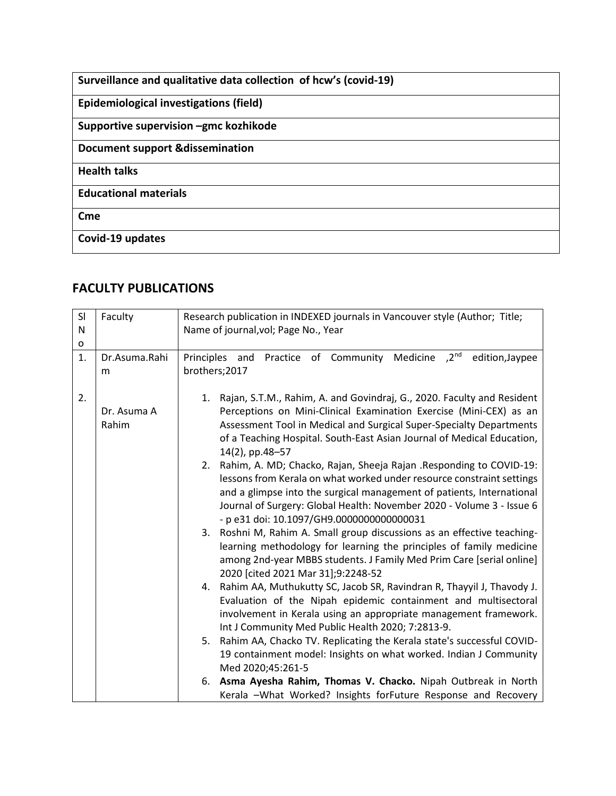| Surveillance and qualitative data collection of hcw's (covid-19) |
|------------------------------------------------------------------|
| Epidemiological investigations (field)                           |
| Supportive supervision -gmc kozhikode                            |
| <b>Document support &amp;dissemination</b>                       |
| <b>Health talks</b>                                              |
| <b>Educational materials</b>                                     |
| Cme                                                              |
| Covid-19 updates                                                 |

# **FACULTY PUBLICATIONS**

| SI<br>N<br>O | Faculty              | Research publication in INDEXED journals in Vancouver style (Author; Title;<br>Name of journal, vol; Page No., Year                                                                                                                                                                                                                              |
|--------------|----------------------|--------------------------------------------------------------------------------------------------------------------------------------------------------------------------------------------------------------------------------------------------------------------------------------------------------------------------------------------------|
| 1.           | Dr.Asuma.Rahi<br>m   | Practice of Community Medicine ,2 <sup>nd</sup><br>Principles and<br>edition, Jaypee<br>brothers;2017                                                                                                                                                                                                                                            |
| 2.           | Dr. Asuma A<br>Rahim | Rajan, S.T.M., Rahim, A. and Govindraj, G., 2020. Faculty and Resident<br>1.<br>Perceptions on Mini-Clinical Examination Exercise (Mini-CEX) as an<br>Assessment Tool in Medical and Surgical Super-Specialty Departments<br>of a Teaching Hospital. South-East Asian Journal of Medical Education,<br>14(2), pp.48-57                           |
|              |                      | Rahim, A. MD; Chacko, Rajan, Sheeja Rajan .Responding to COVID-19:<br>2.<br>lessons from Kerala on what worked under resource constraint settings<br>and a glimpse into the surgical management of patients, International<br>Journal of Surgery: Global Health: November 2020 - Volume 3 - Issue 6<br>- p e31 doi: 10.1097/GH9.0000000000000031 |
|              |                      | 3. Roshni M, Rahim A. Small group discussions as an effective teaching-<br>learning methodology for learning the principles of family medicine<br>among 2nd-year MBBS students. J Family Med Prim Care [serial online]<br>2020 [cited 2021 Mar 31];9:2248-52                                                                                     |
|              |                      | Rahim AA, Muthukutty SC, Jacob SR, Ravindran R, Thayyil J, Thavody J.<br>4.<br>Evaluation of the Nipah epidemic containment and multisectoral<br>involvement in Kerala using an appropriate management framework.<br>Int J Community Med Public Health 2020; 7:2813-9.                                                                           |
|              |                      | Rahim AA, Chacko TV. Replicating the Kerala state's successful COVID-<br>5.<br>19 containment model: Insights on what worked. Indian J Community<br>Med 2020;45:261-5                                                                                                                                                                            |
|              |                      | 6. Asma Ayesha Rahim, Thomas V. Chacko. Nipah Outbreak in North<br>Kerala -What Worked? Insights forFuture Response and Recovery                                                                                                                                                                                                                 |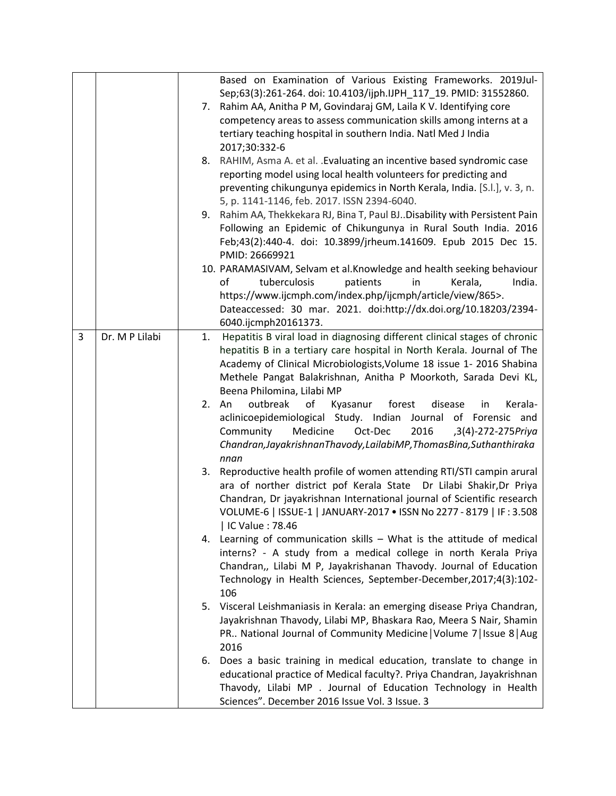|   |                |    | Based on Examination of Various Existing Frameworks. 2019Jul-                |
|---|----------------|----|------------------------------------------------------------------------------|
|   |                |    | Sep;63(3):261-264. doi: 10.4103/ijph.IJPH_117_19. PMID: 31552860.            |
|   |                |    | 7. Rahim AA, Anitha P M, Govindaraj GM, Laila K V. Identifying core          |
|   |                |    | competency areas to assess communication skills among interns at a           |
|   |                |    | tertiary teaching hospital in southern India. Natl Med J India               |
|   |                |    | 2017;30:332-6                                                                |
|   |                |    | 8. RAHIM, Asma A. et al. . Evaluating an incentive based syndromic case      |
|   |                |    | reporting model using local health volunteers for predicting and             |
|   |                |    | preventing chikungunya epidemics in North Kerala, India. [S.l.], v. 3, n.    |
|   |                |    | 5, p. 1141-1146, feb. 2017. ISSN 2394-6040.                                  |
|   |                |    | 9. Rahim AA, Thekkekara RJ, Bina T, Paul BJ. Disability with Persistent Pain |
|   |                |    | Following an Epidemic of Chikungunya in Rural South India. 2016              |
|   |                |    | Feb;43(2):440-4. doi: 10.3899/jrheum.141609. Epub 2015 Dec 15.               |
|   |                |    | PMID: 26669921                                                               |
|   |                |    | 10. PARAMASIVAM, Selvam et al. Knowledge and health seeking behaviour        |
|   |                |    | tuberculosis<br>of<br>patients<br>in<br>Kerala,<br>India.                    |
|   |                |    | https://www.ijcmph.com/index.php/ijcmph/article/view/865>.                   |
|   |                |    | Dateaccessed: 30 mar. 2021. doi:http://dx.doi.org/10.18203/2394-             |
|   |                |    | 6040.ijcmph20161373.                                                         |
| 3 | Dr. M P Lilabi | 1. | Hepatitis B viral load in diagnosing different clinical stages of chronic    |
|   |                |    | hepatitis B in a tertiary care hospital in North Kerala. Journal of The      |
|   |                |    | Academy of Clinical Microbiologists, Volume 18 issue 1- 2016 Shabina         |
|   |                |    | Methele Pangat Balakrishnan, Anitha P Moorkoth, Sarada Devi KL,              |
|   |                |    | Beena Philomina, Lilabi MP                                                   |
|   |                |    | Kerala-<br>outbreak<br>of<br>Kyasanur<br>forest<br>disease<br>2. An<br>in    |
|   |                |    | aclinicoepidemiological Study. Indian Journal of Forensic and                |
|   |                |    | Medicine<br>Oct-Dec<br>2016<br>Community<br>,3(4)-272-275Priya               |
|   |                |    | Chandran, Jayakrishnan Thavody, LailabiMP, ThomasBina, Suthanthiraka         |
|   |                |    | nnan                                                                         |
|   |                | 3. | Reproductive health profile of women attending RTI/STI campin arural         |
|   |                |    | ara of norther district pof Kerala State Dr Lilabi Shakir, Dr Priya          |
|   |                |    | Chandran, Dr jayakrishnan International journal of Scientific research       |
|   |                |    | VOLUME-6   ISSUE-1   JANUARY-2017 . ISSN No 2277 - 8179   IF: 3.508          |
|   |                |    | IC Value: 78.46                                                              |
|   |                |    | 4. Learning of communication skills - What is the attitude of medical        |
|   |                |    | interns? - A study from a medical college in north Kerala Priya              |
|   |                |    | Chandran,, Lilabi M P, Jayakrishanan Thavody. Journal of Education           |
|   |                |    | Technology in Health Sciences, September-December, 2017; 4(3): 102-          |
|   |                |    | 106                                                                          |
|   |                |    | 5. Visceral Leishmaniasis in Kerala: an emerging disease Priya Chandran,     |
|   |                |    | Jayakrishnan Thavody, Lilabi MP, Bhaskara Rao, Meera S Nair, Shamin          |
|   |                |    | PR National Journal of Community Medicine   Volume 7   Issue 8   Aug         |
|   |                |    | 2016                                                                         |
|   |                | 6. | Does a basic training in medical education, translate to change in           |
|   |                |    | educational practice of Medical faculty?. Priya Chandran, Jayakrishnan       |
|   |                |    | Thavody, Lilabi MP . Journal of Education Technology in Health               |
|   |                |    | Sciences". December 2016 Issue Vol. 3 Issue. 3                               |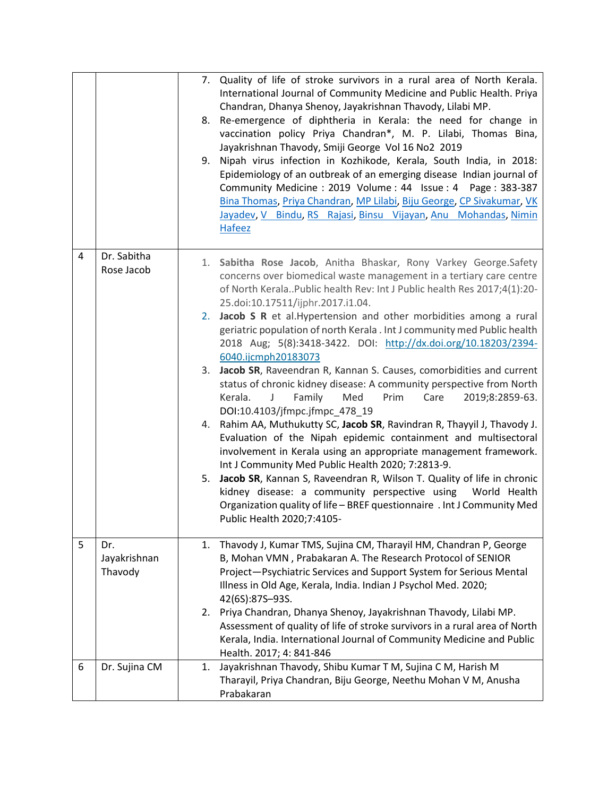|   |                                | 7. Quality of life of stroke survivors in a rural area of North Kerala.<br>International Journal of Community Medicine and Public Health. Priya<br>Chandran, Dhanya Shenoy, Jayakrishnan Thavody, Lilabi MP.<br>Re-emergence of diphtheria in Kerala: the need for change in<br>8.<br>vaccination policy Priya Chandran*, M. P. Lilabi, Thomas Bina,<br>Jayakrishnan Thavody, Smiji George Vol 16 No2 2019<br>Nipah virus infection in Kozhikode, Kerala, South India, in 2018:<br>9.<br>Epidemiology of an outbreak of an emerging disease Indian journal of<br>Community Medicine: 2019 Volume: 44 Issue: 4 Page: 383-387<br>Bina Thomas, Priya Chandran, MP Lilabi, Biju George, CP Sivakumar, VK<br>Jayadev, V Bindu, RS Rajasi, Binsu Vijayan, Anu Mohandas, Nimin<br><b>Hafeez</b> |
|---|--------------------------------|------------------------------------------------------------------------------------------------------------------------------------------------------------------------------------------------------------------------------------------------------------------------------------------------------------------------------------------------------------------------------------------------------------------------------------------------------------------------------------------------------------------------------------------------------------------------------------------------------------------------------------------------------------------------------------------------------------------------------------------------------------------------------------------|
| 4 | Dr. Sabitha<br>Rose Jacob      | 1. Sabitha Rose Jacob, Anitha Bhaskar, Rony Varkey George.Safety<br>concerns over biomedical waste management in a tertiary care centre<br>of North Kerala. Public health Rev: Int J Public health Res 2017;4(1):20-<br>25.doi:10.17511/ijphr.2017.i1.04.                                                                                                                                                                                                                                                                                                                                                                                                                                                                                                                                |
|   |                                | 2. Jacob S R et al. Hypertension and other morbidities among a rural<br>geriatric population of north Kerala . Int J community med Public health<br>2018 Aug; 5(8):3418-3422. DOI: http://dx.doi.org/10.18203/2394-<br>6040.ijcmph20183073                                                                                                                                                                                                                                                                                                                                                                                                                                                                                                                                               |
|   |                                | 3. Jacob SR, Raveendran R, Kannan S. Causes, comorbidities and current<br>status of chronic kidney disease: A community perspective from North<br>Kerala.<br>Family<br>Med<br>Prim<br>Care<br>2019;8:2859-63.<br>DOI:10.4103/jfmpc.jfmpc_478_19                                                                                                                                                                                                                                                                                                                                                                                                                                                                                                                                          |
|   |                                | Rahim AA, Muthukutty SC, Jacob SR, Ravindran R, Thayyil J, Thavody J.<br>4.<br>Evaluation of the Nipah epidemic containment and multisectoral<br>involvement in Kerala using an appropriate management framework.<br>Int J Community Med Public Health 2020; 7:2813-9.                                                                                                                                                                                                                                                                                                                                                                                                                                                                                                                   |
|   |                                | Jacob SR, Kannan S, Raveendran R, Wilson T. Quality of life in chronic<br>5.<br>kidney disease: a community perspective using World Health<br>Organization quality of life - BREF questionnaire . Int J Community Med<br>Public Health 2020;7:4105-                                                                                                                                                                                                                                                                                                                                                                                                                                                                                                                                      |
| 5 | Dr.<br>Jayakrishnan<br>Thavody | Thavody J, Kumar TMS, Sujina CM, Tharayil HM, Chandran P, George<br>1.<br>B, Mohan VMN, Prabakaran A. The Research Protocol of SENIOR<br>Project-Psychiatric Services and Support System for Serious Mental<br>Illness in Old Age, Kerala, India. Indian J Psychol Med. 2020;<br>42(6S):87S-93S.                                                                                                                                                                                                                                                                                                                                                                                                                                                                                         |
|   |                                | Priya Chandran, Dhanya Shenoy, Jayakrishnan Thavody, Lilabi MP.<br>2.<br>Assessment of quality of life of stroke survivors in a rural area of North<br>Kerala, India. International Journal of Community Medicine and Public<br>Health. 2017; 4: 841-846                                                                                                                                                                                                                                                                                                                                                                                                                                                                                                                                 |
| 6 | Dr. Sujina CM                  | Jayakrishnan Thavody, Shibu Kumar T M, Sujina C M, Harish M<br>1.<br>Tharayil, Priya Chandran, Biju George, Neethu Mohan V M, Anusha<br>Prabakaran                                                                                                                                                                                                                                                                                                                                                                                                                                                                                                                                                                                                                                       |